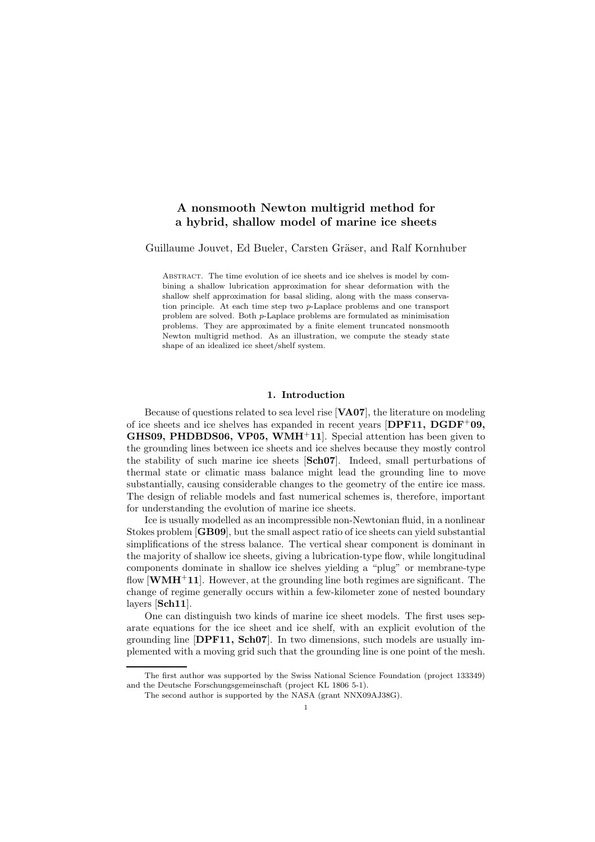# A nonsmooth Newton multigrid method for a hybrid, shallow model of marine ice sheets

#### Guillaume Jouvet, Ed Bueler, Carsten Gräser, and Ralf Kornhuber

Abstract. The time evolution of ice sheets and ice shelves is model by combining a shallow lubrication approximation for shear deformation with the shallow shelf approximation for basal sliding, along with the mass conservation principle. At each time step two p-Laplace problems and one transport problem are solved. Both p-Laplace problems are formulated as minimisation problems. They are approximated by a finite element truncated nonsmooth Newton multigrid method. As an illustration, we compute the steady state shape of an idealized ice sheet/shelf system.

#### 1. Introduction

Because of questions related to sea level rise [VA07], the literature on modeling of ice sheets and ice shelves has expanded in recent years  $[DPF11, DGDF^{+}09,$ **GHS09, PHDBDS06, VP05, WMH**<sup>+</sup>11. Special attention has been given to the grounding lines between ice sheets and ice shelves because they mostly control the stability of such marine ice sheets [Sch07]. Indeed, small perturbations of thermal state or climatic mass balance might lead the grounding line to move substantially, causing considerable changes to the geometry of the entire ice mass. The design of reliable models and fast numerical schemes is, therefore, important for understanding the evolution of marine ice sheets.

Ice is usually modelled as an incompressible non-Newtonian fluid, in a nonlinear Stokes problem [GB09], but the small aspect ratio of ice sheets can yield substantial simplifications of the stress balance. The vertical shear component is dominant in the majority of shallow ice sheets, giving a lubrication-type flow, while longitudinal components dominate in shallow ice shelves yielding a "plug" or membrane-type flow  $\text{[WMH+11]}$ . However, at the grounding line both regimes are significant. The change of regime generally occurs within a few-kilometer zone of nested boundary layers [Sch11].

One can distinguish two kinds of marine ice sheet models. The first uses separate equations for the ice sheet and ice shelf, with an explicit evolution of the grounding line [DPF11, Sch07]. In two dimensions, such models are usually implemented with a moving grid such that the grounding line is one point of the mesh.

The first author was supported by the Swiss National Science Foundation (project 133349) and the Deutsche Forschungsgemeinschaft (project KL 1806 5-1).

The second author is supported by the NASA (grant NNX09AJ38G).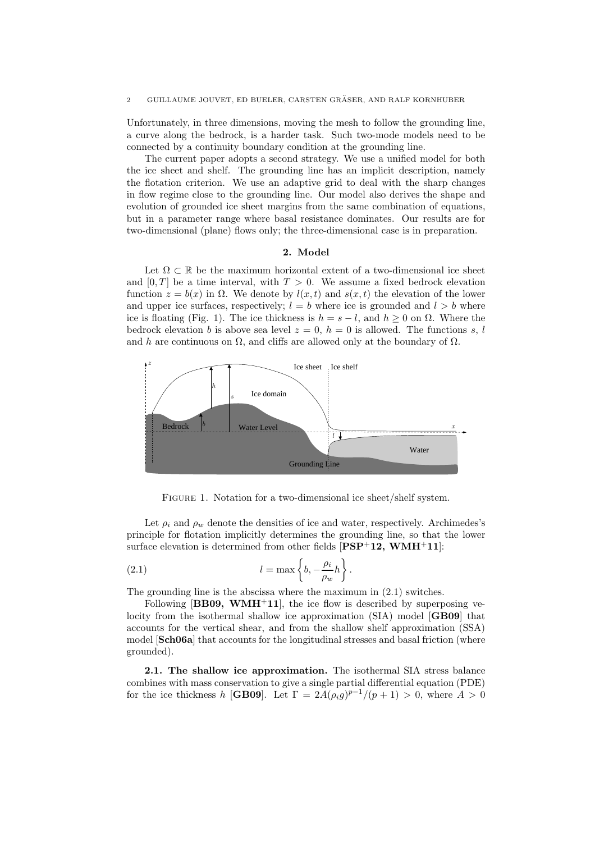Unfortunately, in three dimensions, moving the mesh to follow the grounding line, a curve along the bedrock, is a harder task. Such two-mode models need to be connected by a continuity boundary condition at the grounding line.

The current paper adopts a second strategy. We use a unified model for both the ice sheet and shelf. The grounding line has an implicit description, namely the flotation criterion. We use an adaptive grid to deal with the sharp changes in flow regime close to the grounding line. Our model also derives the shape and evolution of grounded ice sheet margins from the same combination of equations, but in a parameter range where basal resistance dominates. Our results are for two-dimensional (plane) flows only; the three-dimensional case is in preparation.

### 2. Model

Let  $\Omega \subset \mathbb{R}$  be the maximum horizontal extent of a two-dimensional ice sheet and  $[0, T]$  be a time interval, with  $T > 0$ . We assume a fixed bedrock elevation function  $z = b(x)$  in  $\Omega$ . We denote by  $l(x, t)$  and  $s(x, t)$  the elevation of the lower and upper ice surfaces, respectively;  $l = b$  where ice is grounded and  $l > b$  where ice is floating (Fig. 1). The ice thickness is  $h = s - l$ , and  $h \geq 0$  on  $\Omega$ . Where the bedrock elevation b is above sea level  $z = 0$ ,  $h = 0$  is allowed. The functions s, l and h are continuous on  $\Omega$ , and cliffs are allowed only at the boundary of  $\Omega$ .



FIGURE 1. Notation for a two-dimensional ice sheet/shelf system.

Let  $\rho_i$  and  $\rho_w$  denote the densities of ice and water, respectively. Archimedes's principle for flotation implicitly determines the grounding line, so that the lower surface elevation is determined from other fields  $[PSP^+12, WMH^+11]$ :

(2.1) 
$$
l = \max \left\{ b, -\frac{\rho_i}{\rho_w} h \right\}.
$$

The grounding line is the abscissa where the maximum in (2.1) switches.

Following  $[BB09, WMH<sup>+</sup>11]$ , the ice flow is described by superposing velocity from the isothermal shallow ice approximation (SIA) model **[GB09**] that accounts for the vertical shear, and from the shallow shelf approximation (SSA) model **[Sch06a**] that accounts for the longitudinal stresses and basal friction (where grounded).

2.1. The shallow ice approximation. The isothermal SIA stress balance combines with mass conservation to give a single partial differential equation (PDE) for the ice thickness h [GB09]. Let  $\Gamma = 2A(\rho_i g)^{p-1}/(p+1) > 0$ , where  $A > 0$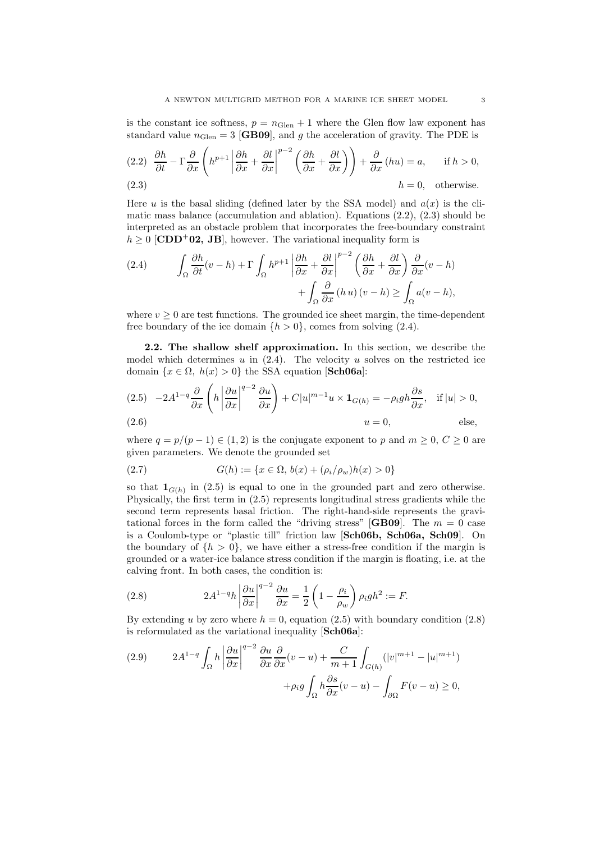is the constant ice softness,  $p = n_{\text{Glen}} + 1$  where the Glen flow law exponent has standard value  $n_{\text{Glen}} = 3$  [GB09], and g the acceleration of gravity. The PDE is

(2.2) 
$$
\frac{\partial h}{\partial t} - \Gamma \frac{\partial}{\partial x} \left( h^{p+1} \left| \frac{\partial h}{\partial x} + \frac{\partial l}{\partial x} \right|^{p-2} \left( \frac{\partial h}{\partial x} + \frac{\partial l}{\partial x} \right) \right) + \frac{\partial}{\partial x} (hu) = a, \quad \text{if } h > 0,
$$
  
(2.3) 
$$
h = 0, \quad \text{otherwise.}
$$

Here u is the basal sliding (defined later by the SSA model) and  $a(x)$  is the climatic mass balance (accumulation and ablation). Equations (2.2), (2.3) should be interpreted as an obstacle problem that incorporates the free-boundary constraint  $h \geq 0$  [CDD<sup>+</sup>02, JB], however. The variational inequality form is

(2.4) 
$$
\int_{\Omega} \frac{\partial h}{\partial t}(v-h) + \Gamma \int_{\Omega} h^{p+1} \left| \frac{\partial h}{\partial x} + \frac{\partial l}{\partial x} \right|^{p-2} \left( \frac{\partial h}{\partial x} + \frac{\partial l}{\partial x} \right) \frac{\partial}{\partial x}(v-h) + \int_{\Omega} \frac{\partial}{\partial x}(h u)(v-h) \ge \int_{\Omega} a(v-h),
$$

where  $v > 0$  are test functions. The grounded ice sheet margin, the time-dependent free boundary of the ice domain  $\{h > 0\}$ , comes from solving (2.4).

2.2. The shallow shelf approximation. In this section, we describe the model which determines  $u$  in  $(2.4)$ . The velocity  $u$  solves on the restricted ice domain  $\{x \in \Omega, h(x) > 0\}$  the SSA equation [Sch06a]:

(2.5) 
$$
-2A^{1-q} \frac{\partial}{\partial x} \left( h \left| \frac{\partial u}{\partial x} \right|^{q-2} \frac{\partial u}{\partial x} \right) + C|u|^{m-1} u \times \mathbf{1}_{G(h)} = -\rho_i gh \frac{\partial s}{\partial x}, \text{ if } |u| > 0,
$$
  
(2.6) 
$$
u = 0, \text{ else,}
$$

where  $q = p/(p-1) \in (1, 2)$  is the conjugate exponent to p and  $m \geq 0, C \geq 0$  are given parameters. We denote the grounded set

(2.7) 
$$
G(h) := \{x \in \Omega, \, b(x) + (\rho_i/\rho_w)h(x) > 0\}
$$

so that  $\mathbf{1}_{G(h)}$  in (2.5) is equal to one in the grounded part and zero otherwise. Physically, the first term in (2.5) represents longitudinal stress gradients while the second term represents basal friction. The right-hand-side represents the gravitational forces in the form called the "driving stress" [GB09]. The  $m = 0$  case is a Coulomb-type or "plastic till" friction law [Sch06b, Sch06a, Sch09]. On the boundary of  $\{h > 0\}$ , we have either a stress-free condition if the margin is grounded or a water-ice balance stress condition if the margin is floating, i.e. at the calving front. In both cases, the condition is:

(2.8) 
$$
2A^{1-q}h\left|\frac{\partial u}{\partial x}\right|^{q-2}\frac{\partial u}{\partial x}=\frac{1}{2}\left(1-\frac{\rho_i}{\rho_w}\right)\rho_igh^2:=F.
$$

By extending u by zero where  $h = 0$ , equation (2.5) with boundary condition (2.8) is reformulated as the variational inequality [Sch06a]:

(2.9) 
$$
2A^{1-q} \int_{\Omega} h \left| \frac{\partial u}{\partial x} \right|^{q-2} \frac{\partial u}{\partial x} \frac{\partial}{\partial x} (v-u) + \frac{C}{m+1} \int_{G(h)} (|v|^{m+1} - |u|^{m+1}) + \rho_i g \int_{\Omega} h \frac{\partial s}{\partial x} (v-u) - \int_{\partial \Omega} F(v-u) \ge 0,
$$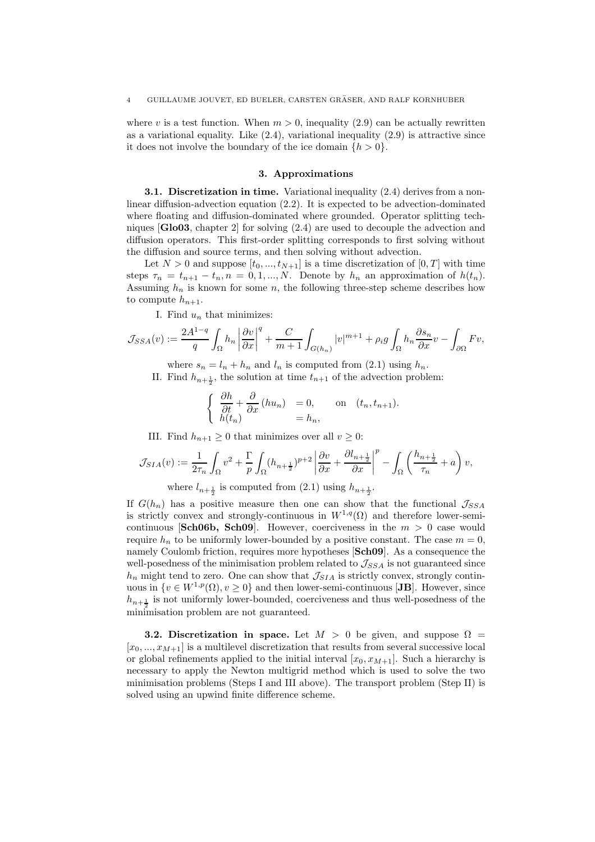where v is a test function. When  $m > 0$ , inequality (2.9) can be actually rewritten as a variational equality. Like  $(2.4)$ , variational inequality  $(2.9)$  is attractive since it does not involve the boundary of the ice domain  $\{h > 0\}$ .

#### 3. Approximations

3.1. Discretization in time. Variational inequality (2.4) derives from a nonlinear diffusion-advection equation  $(2.2)$ . It is expected to be advection-dominated where floating and diffusion-dominated where grounded. Operator splitting techniques [Glo03, chapter 2] for solving (2.4) are used to decouple the advection and diffusion operators. This first-order splitting corresponds to first solving without the diffusion and source terms, and then solving without advection.

Let  $N > 0$  and suppose  $[t_0, ..., t_{N+1}]$  is a time discretization of  $[0, T]$  with time steps  $\tau_n = t_{n+1} - t_n$ ,  $n = 0, 1, ..., N$ . Denote by  $h_n$  an approximation of  $h(t_n)$ . Assuming  $h_n$  is known for some n, the following three-step scheme describes how to compute  $h_{n+1}$ .

I. Find  $u_n$  that minimizes:

$$
\mathcal{J}_{SSA}(v) := \frac{2A^{1-q}}{q} \int_{\Omega} h_n \left| \frac{\partial v}{\partial x} \right|^q + \frac{C}{m+1} \int_{G(h_n)} |v|^{m+1} + \rho_i g \int_{\Omega} h_n \frac{\partial s_n}{\partial x} v - \int_{\partial \Omega} F v,
$$

where  $s_n = l_n + h_n$  and  $l_n$  is computed from (2.1) using  $h_n$ .

II. Find  $h_{n+\frac{1}{2}}$ , the solution at time  $t_{n+1}$  of the advection problem:

$$
\begin{cases} \frac{\partial h}{\partial t} + \frac{\partial}{\partial x} (hu_n) = 0, & \text{on } (t_n, t_{n+1}).\\ h(t_n) = h_n, \end{cases}
$$

III. Find  $h_{n+1} \geq 0$  that minimizes over all  $v \geq 0$ :

$$
\mathcal{J}_{SIA}(v) := \frac{1}{2\tau_n} \int_{\Omega} v^2 + \frac{\Gamma}{p} \int_{\Omega} (h_{n+\frac{1}{2}})^{p+2} \left| \frac{\partial v}{\partial x} + \frac{\partial l_{n+\frac{1}{2}}}{\partial x} \right|^p - \int_{\Omega} \left( \frac{h_{n+\frac{1}{2}}}{\tau_n} + a \right) v,
$$

where  $l_{n+\frac{1}{2}}$  is computed from  $(2.1)$  using  $h_{n+\frac{1}{2}}$ .

If  $G(h_n)$  has a positive measure then one can show that the functional  $\mathcal{J}_{SSA}$ is strictly convex and strongly-continuous in  $W^{1,q}(\Omega)$  and therefore lower-semicontinuous [Sch06b, Sch09]. However, coerciveness in the  $m > 0$  case would require  $h_n$  to be uniformly lower-bounded by a positive constant. The case  $m = 0$ , namely Coulomb friction, requires more hypotheses [Sch09]. As a consequence the well-posedness of the minimisation problem related to  $\mathcal{J}_{SSA}$  is not guaranteed since  $h_n$  might tend to zero. One can show that  $\mathcal{J}_{SIA}$  is strictly convex, strongly continuous in  $\{v \in W^{1,p}(\Omega), v \ge 0\}$  and then lower-semi-continuous [JB]. However, since  $h_{n+\frac{1}{2}}$  is not uniformly lower-bounded, coerciveness and thus well-posedness of the minimisation problem are not guaranteed.

**3.2. Discretization in space.** Let  $M > 0$  be given, and suppose  $\Omega =$  $[x_0, ..., x_{M+1}]$  is a multilevel discretization that results from several successive local or global refinements applied to the initial interval  $[x_0, x_{M+1}]$ . Such a hierarchy is necessary to apply the Newton multigrid method which is used to solve the two minimisation problems (Steps I and III above). The transport problem (Step II) is solved using an upwind finite difference scheme.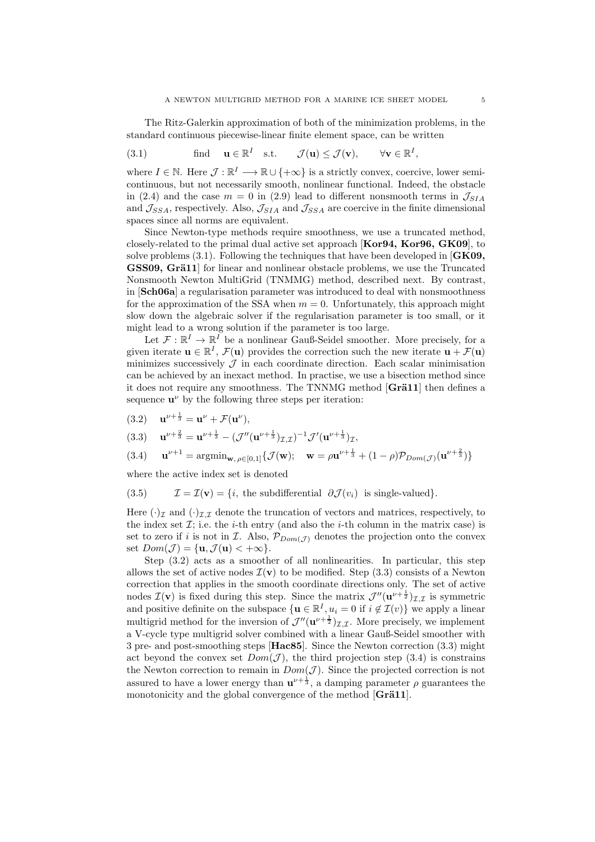The Ritz-Galerkin approximation of both of the minimization problems, in the standard continuous piecewise-linear finite element space, can be written

(3.1) find 
$$
\mathbf{u} \in \mathbb{R}^I
$$
 s.t.  $\mathcal{J}(\mathbf{u}) \leq \mathcal{J}(\mathbf{v}), \forall \mathbf{v} \in \mathbb{R}^I$ ,

where  $I \in \mathbb{N}$ . Here  $\mathcal{J} : \mathbb{R}^I \longrightarrow \mathbb{R} \cup \{+\infty\}$  is a strictly convex, coercive, lower semicontinuous, but not necessarily smooth, nonlinear functional. Indeed, the obstacle in (2.4) and the case  $m = 0$  in (2.9) lead to different nonsmooth terms in  $\mathcal{J}_{SIA}$ and  $\mathcal{J}_{SSA}$ , respectively. Also,  $\mathcal{J}_{SIA}$  and  $\mathcal{J}_{SSA}$  are coercive in the finite dimensional spaces since all norms are equivalent.

Since Newton-type methods require smoothness, we use a truncated method, closely-related to the primal dual active set approach [Kor94, Kor96, GK09], to solve problems  $(3.1)$ . Following the techniques that have been developed in  $[GK09,$ GSS09, Grä11 for linear and nonlinear obstacle problems, we use the Truncated Nonsmooth Newton MultiGrid (TNMMG) method, described next. By contrast, in [Sch06a] a regularisation parameter was introduced to deal with nonsmoothness for the approximation of the SSA when  $m = 0$ . Unfortunately, this approach might slow down the algebraic solver if the regularisation parameter is too small, or it might lead to a wrong solution if the parameter is too large.

Let  $\mathcal{F}: \mathbb{R}^I \to \mathbb{R}^I$  be a nonlinear Gauß-Seidel smoother. More precisely, for a given iterate  $\mathbf{u} \in \mathbb{R}^I$ ,  $\mathcal{F}(\mathbf{u})$  provides the correction such the new iterate  $\mathbf{u} + \mathcal{F}(\mathbf{u})$ minimizes successively  $\mathcal J$  in each coordinate direction. Each scalar minimisation can be achieved by an inexact method. In practise, we use a bisection method since it does not require any smoothness. The TNNMG method  $[Gr\ddot{a}11]$  then defines a sequence  $\mathbf{u}^{\nu}$  by the following three steps per iteration:

(3.2) 
$$
\mathbf{u}^{\nu + \frac{1}{3}} = \mathbf{u}^{\nu} + \mathcal{F}(\mathbf{u}^{\nu}),
$$

$$
(3.3) \quad \mathbf{u}^{\nu + \frac{2}{3}} = \mathbf{u}^{\nu + \frac{1}{3}} - (\mathcal{J}^{\prime\prime}(\mathbf{u}^{\nu + \frac{1}{3}})_{\mathcal{I},\mathcal{I}})^{-1} \mathcal{J}^{\prime}(\mathbf{u}^{\nu + \frac{1}{3}})_{\mathcal{I}},
$$

(3.4) 
$$
\mathbf{u}^{\nu+1} = \arg\min_{\mathbf{w}, \, \rho \in [0,1]} \{ \mathcal{J}(\mathbf{w}); \quad \mathbf{w} = \rho \mathbf{u}^{\nu+\frac{1}{3}} + (1-\rho) \mathcal{P}_{Dom(\mathcal{J})}(\mathbf{u}^{\nu+\frac{2}{3}}) \}
$$

where the active index set is denoted

(3.5) 
$$
\mathcal{I} = \mathcal{I}(\mathbf{v}) = \{i, \text{ the subdifferential } \partial \mathcal{J}(v_i) \text{ is single-valued}\}.
$$

Here  $(\cdot)_\mathcal{I}$  and  $(\cdot)_\mathcal{I}$ , denote the truncation of vectors and matrices, respectively, to the index set  $\mathcal{I}$ ; i.e. the *i*-th entry (and also the *i*-th column in the matrix case) is set to zero if i is not in I. Also,  $\mathcal{P}_{Dom(\mathcal{J})}$  denotes the projection onto the convex set  $Dom(\mathcal{J}) = {\mathbf{u}, \mathcal{J}(\mathbf{u}) < +\infty}.$ 

Step (3.2) acts as a smoother of all nonlinearities. In particular, this step allows the set of active nodes  $\mathcal{I}(v)$  to be modified. Step (3.3) consists of a Newton correction that applies in the smooth coordinate directions only. The set of active nodes  $\mathcal{I}(v)$  is fixed during this step. Since the matrix  $\mathcal{J}''(u^{\nu+\frac{1}{2}})_{\mathcal{I},\mathcal{I}}$  is symmetric and positive definite on the subspace  $\{u \in \mathbb{R}^I, u_i = 0 \text{ if } i \notin \mathcal{I}(v)\}\$  we apply a linear multigrid method for the inversion of  $\mathcal{J}''(\mathbf{u}^{\nu+\frac{1}{2}})_{\mathcal{I},\mathcal{I}}$ . More precisely, we implement a V-cycle type multigrid solver combined with a linear Gauß-Seidel smoother with 3 pre- and post-smoothing steps [Hac85]. Since the Newton correction (3.3) might act beyond the convex set  $Dom(\mathcal{J})$ , the third projection step (3.4) is constrains the Newton correction to remain in  $Dom(\mathcal{J})$ . Since the projected correction is not assured to have a lower energy than  $\mathbf{u}^{\nu+\frac{1}{3}}$ , a damping parameter  $\rho$  guarantees the monotonicity and the global convergence of the method  $[Gr\ddot{a}11]$ .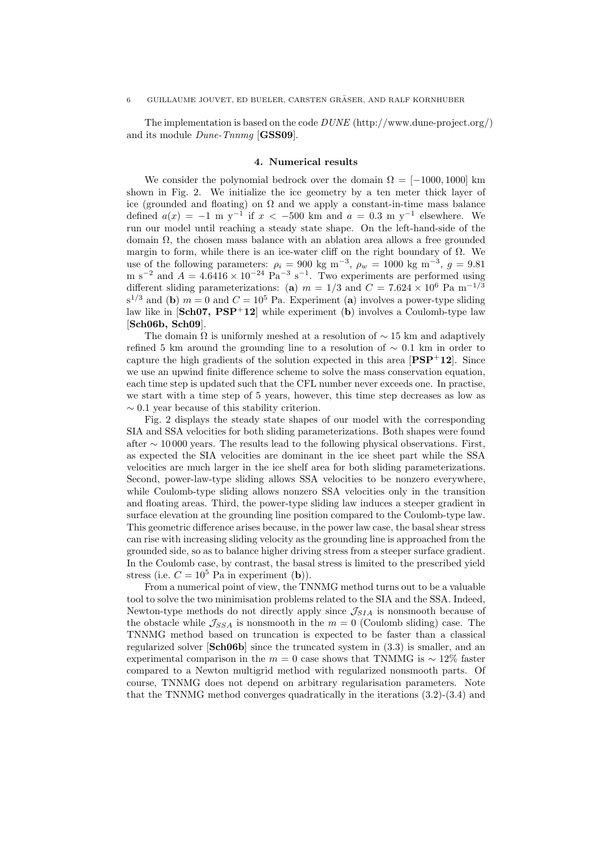The implementation is based on the code  $DUNE$  (http://www.dune-project.org/) and its module *Dune-Tnnmg* [GSS09].

#### 4. Numerical results

We consider the polynomial bedrock over the domain  $\Omega = [-1000, 1000]$  km shown in Fig. 2. We initialize the ice geometry by a ten meter thick layer of ice (grounded and floating) on  $\Omega$  and we apply a constant-in-time mass balance defined  $a(x) = -1$  m y<sup>-1</sup> if  $x < -500$  km and  $a = 0.3$  m y<sup>-1</sup> elsewhere. We run our model until reaching a steady state shape. On the left-hand-side of the domain Ω, the chosen mass balance with an ablation area allows a free grounded margin to form, while there is an ice-water cliff on the right boundary of  $\Omega$ . We use of the following parameters:  $\rho_i = 900 \text{ kg m}^{-3}$ ,  $\rho_w = 1000 \text{ kg m}^{-3}$ ,  $g = 9.81$ m s<sup>-2</sup> and  $A = 4.6416 \times 10^{-24}$  Pa<sup>-3</sup> s<sup>-1</sup>. Two experiments are performed using different sliding parameterizations: (a)  $m = 1/3$  and  $C = 7.624 \times 10^6$  Pa m<sup>-1/3</sup>  $s^{1/3}$  and (b)  $m = 0$  and  $C = 10^5$  Pa. Experiment (a) involves a power-type sliding law like in  $[\text{Sch}07, \text{PSP}^+12]$  while experiment (b) involves a Coulomb-type law [Sch06b, Sch09].

The domain  $\Omega$  is uniformly meshed at a resolution of  $\sim$  15 km and adaptively refined 5 km around the grounding line to a resolution of  $\sim$  0.1 km in order to capture the high gradients of the solution expected in this area  $[PSP^+12]$ . Since we use an upwind finite difference scheme to solve the mass conservation equation, each time step is updated such that the CFL number never exceeds one. In practise, we start with a time step of 5 years, however, this time step decreases as low as  $\sim 0.1$  year because of this stability criterion.

Fig. 2 displays the steady state shapes of our model with the corresponding SIA and SSA velocities for both sliding parameterizations. Both shapes were found after  $\sim$  10000 years. The results lead to the following physical observations. First, as expected the SIA velocities are dominant in the ice sheet part while the SSA velocities are much larger in the ice shelf area for both sliding parameterizations. Second, power-law-type sliding allows SSA velocities to be nonzero everywhere, while Coulomb-type sliding allows nonzero SSA velocities only in the transition and floating areas. Third, the power-type sliding law induces a steeper gradient in surface elevation at the grounding line position compared to the Coulomb-type law. This geometric difference arises because, in the power law case, the basal shear stress can rise with increasing sliding velocity as the grounding line is approached from the grounded side, so as to balance higher driving stress from a steeper surface gradient. In the Coulomb case, by contrast, the basal stress is limited to the prescribed yield stress (i.e.  $C = 10^5$  Pa in experiment (b)).

From a numerical point of view, the TNNMG method turns out to be a valuable tool to solve the two minimisation problems related to the SIA and the SSA. Indeed, Newton-type methods do not directly apply since  $\mathcal{J}_{SIA}$  is nonsmooth because of the obstacle while  $\mathcal{J}_{SSA}$  is nonsmooth in the  $m = 0$  (Coulomb sliding) case. The TNNMG method based on truncation is expected to be faster than a classical regularized solver [Sch06b] since the truncated system in (3.3) is smaller, and an experimental comparison in the  $m = 0$  case shows that TNMMG is  $\sim 12\%$  faster compared to a Newton multigrid method with regularized nonsmooth parts. Of course, TNNMG does not depend on arbitrary regularisation parameters. Note that the TNNMG method converges quadratically in the iterations (3.2)-(3.4) and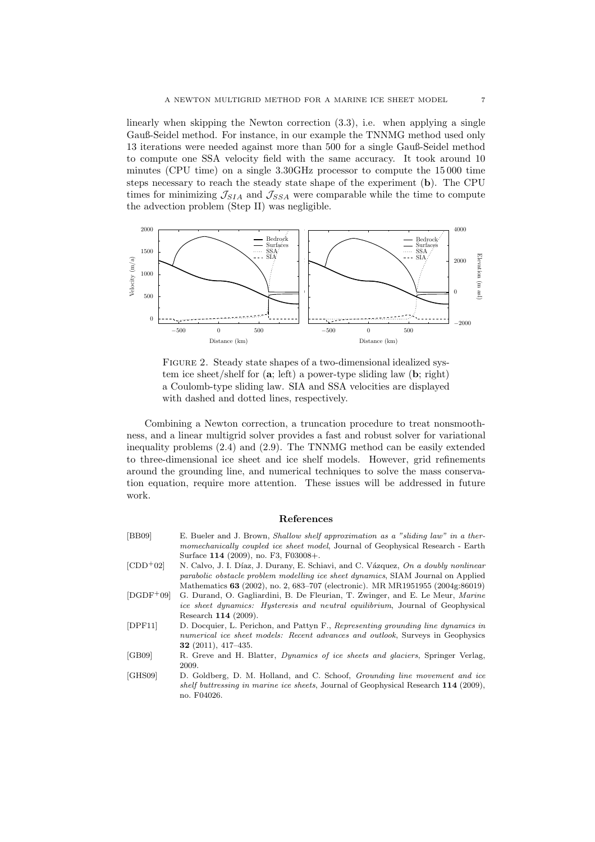linearly when skipping the Newton correction (3.3), i.e. when applying a single Gauß-Seidel method. For instance, in our example the TNNMG method used only 13 iterations were needed against more than 500 for a single Gauß-Seidel method to compute one SSA velocity field with the same accuracy. It took around 10 minutes (CPU time) on a single 3.30GHz processor to compute the 15 000 time steps necessary to reach the steady state shape of the experiment (b). The CPU times for minimizing  $\mathcal{J}_{SIA}$  and  $\mathcal{J}_{SSA}$  were comparable while the time to compute the advection problem (Step II) was negligible.



FIGURE 2. Steady state shapes of a two-dimensional idealized system ice sheet/shelf for  $(a; left)$  a power-type sliding law  $(b; right)$ a Coulomb-type sliding law. SIA and SSA velocities are displayed with dashed and dotted lines, respectively.

Combining a Newton correction, a truncation procedure to treat nonsmoothness, and a linear multigrid solver provides a fast and robust solver for variational inequality problems (2.4) and (2.9). The TNNMG method can be easily extended to three-dimensional ice sheet and ice shelf models. However, grid refinements around the grounding line, and numerical techniques to solve the mass conservation equation, require more attention. These issues will be addressed in future work.

## References

| $\vert$ BB09 $\vert$ | E. Bueler and J. Brown, <i>Shallow shelf approximation as a "sliding law" in a ther-</i><br>momechanically coupled ice sheet model, Journal of Geophysical Research - Earth             |
|----------------------|-----------------------------------------------------------------------------------------------------------------------------------------------------------------------------------------|
|                      | Surface 114 (2009), no. F3, F03008+.                                                                                                                                                    |
| $[CDD+02]$           | N. Calvo, J. I. Díaz, J. Durany, E. Schiavi, and C. Vázquez, On a doubly nonlinear                                                                                                      |
|                      | parabolic obstacle problem modelling ice sheet dynamics, SIAM Journal on Applied                                                                                                        |
|                      | Mathematics 63 (2002), no. 2, 683–707 (electronic). MR MR1951955 (2004g:86019)                                                                                                          |
| $[DODF+09]$          | G. Durand, O. Gagliardini, B. De Fleurian, T. Zwinger, and E. Le Meur, <i>Marine</i>                                                                                                    |
|                      | <i>ice sheet dynamics: Hysteresis and neutral equilibrium</i> , Journal of Geophysical                                                                                                  |
|                      | Research 114 (2009).                                                                                                                                                                    |
| [DPF11]              | D. Docquier, L. Perichon, and Pattyn F., Representing grounding line dynamics in<br>numerical ice sheet models: Recent advances and outlook, Surveys in Geophysics                      |
|                      | <b>32</b> (2011), 417-435.                                                                                                                                                              |
| [ $GB09$ ]           | R. Greve and H. Blatter, <i>Dynamics of ice sheets and glaciers</i> , Springer Verlag,                                                                                                  |
|                      | 2009.                                                                                                                                                                                   |
| [GHS09]              | D. Goldberg, D. M. Holland, and C. Schoof, <i>Grounding line movement and ice</i><br>shelf buttressing in marine ice sheets, Journal of Geophysical Research 114 (2009),<br>no. F04026. |